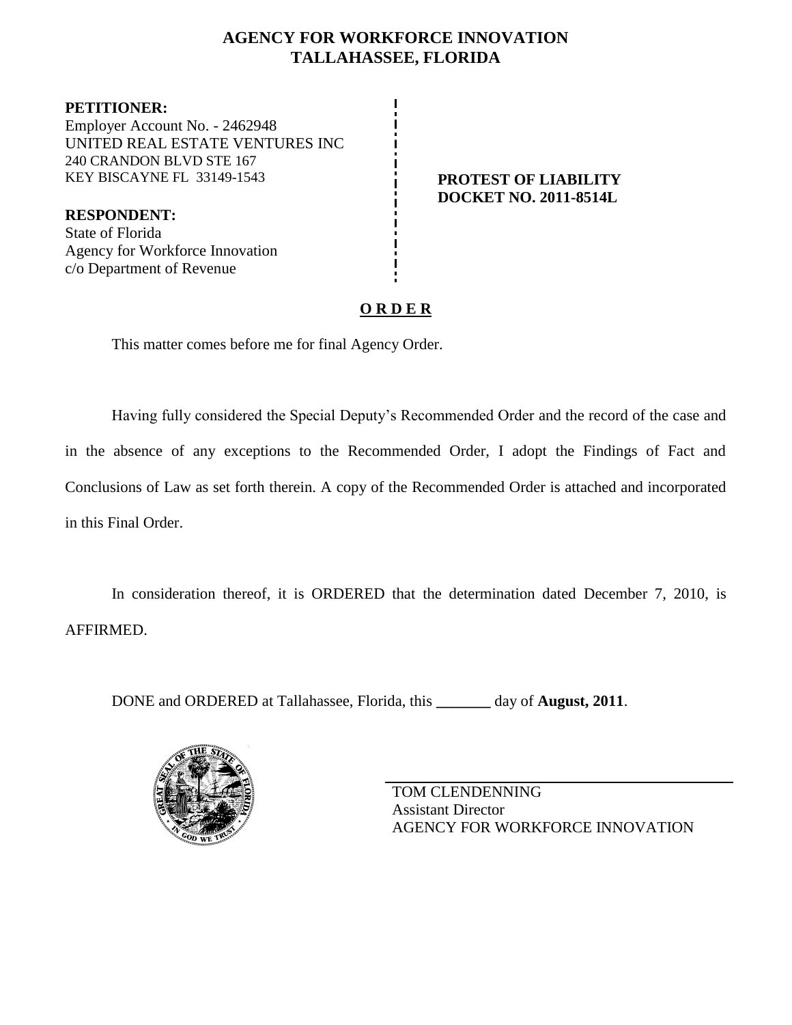# **AGENCY FOR WORKFORCE INNOVATION TALLAHASSEE, FLORIDA**

**PETITIONER:** Employer Account No. - 2462948 UNITED REAL ESTATE VENTURES INC 240 CRANDON BLVD STE 167 KEY BISCAYNE FL 33149-1543 **PROTEST OF LIABILITY**

**DOCKET NO. 2011-8514L**

**RESPONDENT:** State of Florida Agency for Workforce Innovation c/o Department of Revenue

# **O R D E R**

This matter comes before me for final Agency Order.

Having fully considered the Special Deputy's Recommended Order and the record of the case and in the absence of any exceptions to the Recommended Order, I adopt the Findings of Fact and Conclusions of Law as set forth therein. A copy of the Recommended Order is attached and incorporated in this Final Order.

In consideration thereof, it is ORDERED that the determination dated December 7, 2010, is AFFIRMED.

DONE and ORDERED at Tallahassee, Florida, this **\_\_\_\_\_\_\_** day of **August, 2011**.



TOM CLENDENNING Assistant Director AGENCY FOR WORKFORCE INNOVATION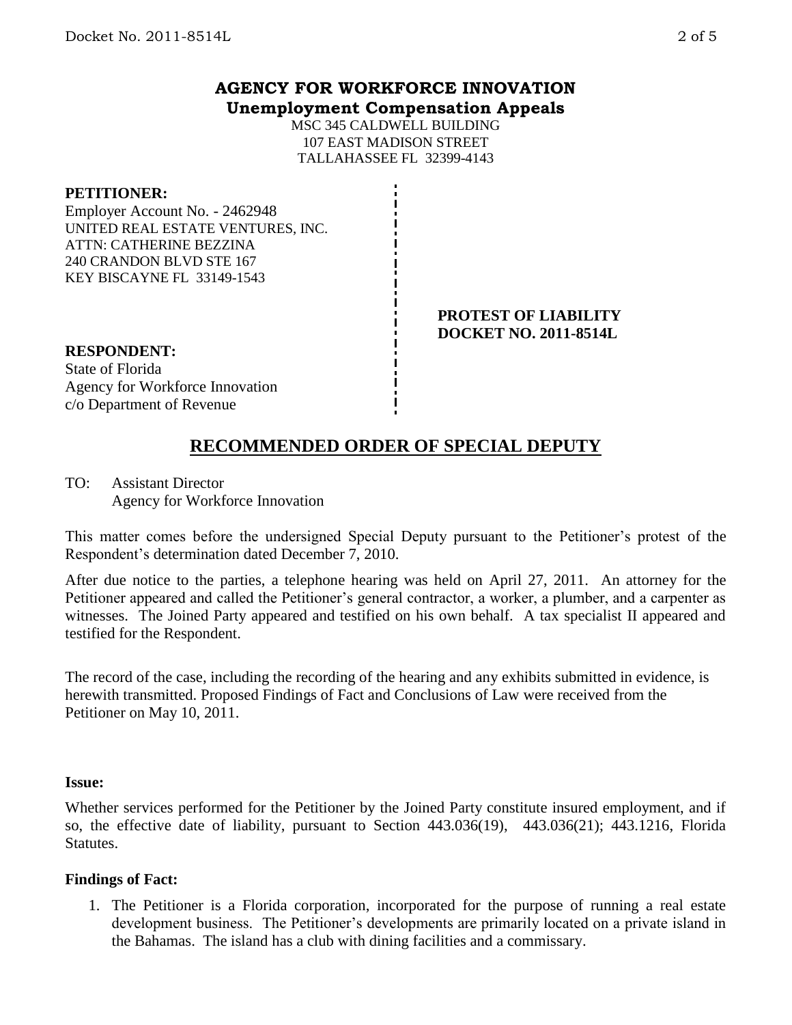### **AGENCY FOR WORKFORCE INNOVATION Unemployment Compensation Appeals**

MSC 345 CALDWELL BUILDING 107 EAST MADISON STREET TALLAHASSEE FL 32399-4143

### **PETITIONER:**

Employer Account No. - 2462948 UNITED REAL ESTATE VENTURES, INC. ATTN: CATHERINE BEZZINA 240 CRANDON BLVD STE 167 KEY BISCAYNE FL 33149-1543

#### **PROTEST OF LIABILITY DOCKET NO. 2011-8514L**

## **RESPONDENT:** State of Florida Agency for Workforce Innovation

# c/o Department of Revenue

# **RECOMMENDED ORDER OF SPECIAL DEPUTY**

TO: Assistant Director Agency for Workforce Innovation

This matter comes before the undersigned Special Deputy pursuant to the Petitioner's protest of the Respondent's determination dated December 7, 2010.

After due notice to the parties, a telephone hearing was held on April 27, 2011. An attorney for the Petitioner appeared and called the Petitioner's general contractor, a worker, a plumber, and a carpenter as witnesses. The Joined Party appeared and testified on his own behalf. A tax specialist II appeared and testified for the Respondent.

The record of the case, including the recording of the hearing and any exhibits submitted in evidence, is herewith transmitted. Proposed Findings of Fact and Conclusions of Law were received from the Petitioner on May 10, 2011.

### **Issue:**

Whether services performed for the Petitioner by the Joined Party constitute insured employment, and if so, the effective date of liability, pursuant to Section 443.036(19), 443.036(21); 443.1216, Florida Statutes.

## **Findings of Fact:**

1. The Petitioner is a Florida corporation, incorporated for the purpose of running a real estate development business. The Petitioner's developments are primarily located on a private island in the Bahamas. The island has a club with dining facilities and a commissary.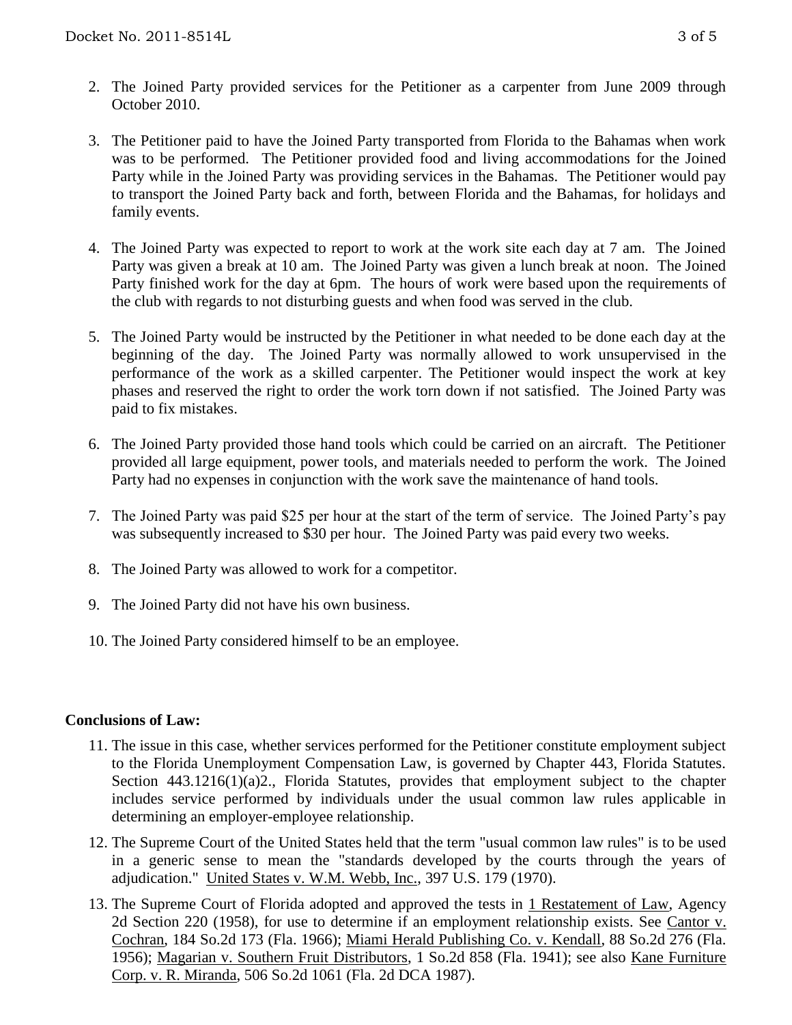- 2. The Joined Party provided services for the Petitioner as a carpenter from June 2009 through October 2010.
- 3. The Petitioner paid to have the Joined Party transported from Florida to the Bahamas when work was to be performed. The Petitioner provided food and living accommodations for the Joined Party while in the Joined Party was providing services in the Bahamas. The Petitioner would pay to transport the Joined Party back and forth, between Florida and the Bahamas, for holidays and family events.
- 4. The Joined Party was expected to report to work at the work site each day at 7 am. The Joined Party was given a break at 10 am. The Joined Party was given a lunch break at noon. The Joined Party finished work for the day at 6pm. The hours of work were based upon the requirements of the club with regards to not disturbing guests and when food was served in the club.
- 5. The Joined Party would be instructed by the Petitioner in what needed to be done each day at the beginning of the day. The Joined Party was normally allowed to work unsupervised in the performance of the work as a skilled carpenter. The Petitioner would inspect the work at key phases and reserved the right to order the work torn down if not satisfied. The Joined Party was paid to fix mistakes.
- 6. The Joined Party provided those hand tools which could be carried on an aircraft. The Petitioner provided all large equipment, power tools, and materials needed to perform the work. The Joined Party had no expenses in conjunction with the work save the maintenance of hand tools.
- 7. The Joined Party was paid \$25 per hour at the start of the term of service. The Joined Party's pay was subsequently increased to \$30 per hour. The Joined Party was paid every two weeks.
- 8. The Joined Party was allowed to work for a competitor.
- 9. The Joined Party did not have his own business.
- 10. The Joined Party considered himself to be an employee.

### **Conclusions of Law:**

- 11. The issue in this case, whether services performed for the Petitioner constitute employment subject to the Florida Unemployment Compensation Law, is governed by Chapter 443, Florida Statutes. Section 443.1216(1)(a)2., Florida Statutes, provides that employment subject to the chapter includes service performed by individuals under the usual common law rules applicable in determining an employer-employee relationship.
- 12. The Supreme Court of the United States held that the term "usual common law rules" is to be used in a generic sense to mean the "standards developed by the courts through the years of adjudication." United States v. W.M. Webb, Inc., 397 U.S. 179 (1970).
- 13. The Supreme Court of Florida adopted and approved the tests in 1 Restatement of Law, Agency 2d Section 220 (1958), for use to determine if an employment relationship exists. See Cantor v. Cochran, 184 So.2d 173 (Fla. 1966); Miami Herald Publishing Co. v. Kendall, 88 So.2d 276 (Fla. 1956); Magarian v. Southern Fruit Distributors, 1 So.2d 858 (Fla. 1941); see also Kane Furniture Corp. v. R. Miranda, 506 So.2d 1061 (Fla. 2d DCA 1987).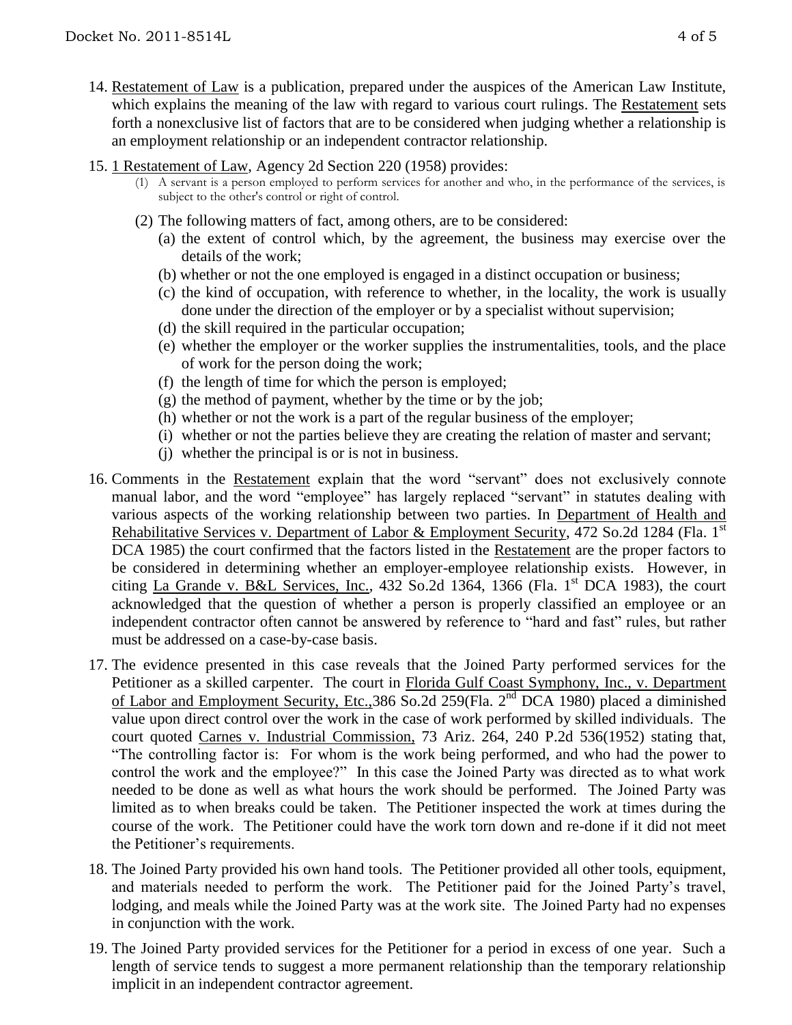- 14. Restatement of Law is a publication, prepared under the auspices of the American Law Institute, which explains the meaning of the law with regard to various court rulings. The Restatement sets forth a nonexclusive list of factors that are to be considered when judging whether a relationship is an employment relationship or an independent contractor relationship.
- 15. 1 Restatement of Law, Agency 2d Section 220 (1958) provides:
	- (1) A servant is a person employed to perform services for another and who, in the performance of the services, is subject to the other's control or right of control.
	- (2) The following matters of fact, among others, are to be considered:
		- (a) the extent of control which, by the agreement, the business may exercise over the details of the work;
		- (b) whether or not the one employed is engaged in a distinct occupation or business;
		- (c) the kind of occupation, with reference to whether, in the locality, the work is usually done under the direction of the employer or by a specialist without supervision;
		- (d) the skill required in the particular occupation;
		- (e) whether the employer or the worker supplies the instrumentalities, tools, and the place of work for the person doing the work;
		- (f) the length of time for which the person is employed;
		- $(g)$  the method of payment, whether by the time or by the job;
		- (h) whether or not the work is a part of the regular business of the employer;
		- (i) whether or not the parties believe they are creating the relation of master and servant;
		- (j) whether the principal is or is not in business.
- 16. Comments in the Restatement explain that the word "servant" does not exclusively connote manual labor, and the word "employee" has largely replaced "servant" in statutes dealing with various aspects of the working relationship between two parties. In Department of Health and Rehabilitative Services v. Department of Labor & Employment Security, 472 So.2d 1284 (Fla. 1<sup>st</sup>) DCA 1985) the court confirmed that the factors listed in the Restatement are the proper factors to be considered in determining whether an employer-employee relationship exists. However, in citing La Grande v. B&L Services, Inc., 432 So.2d 1364, 1366 (Fla. 1<sup>st</sup> DCA 1983), the court acknowledged that the question of whether a person is properly classified an employee or an independent contractor often cannot be answered by reference to "hard and fast" rules, but rather must be addressed on a case-by-case basis.
- 17. The evidence presented in this case reveals that the Joined Party performed services for the Petitioner as a skilled carpenter. The court in Florida Gulf Coast Symphony, Inc., v. Department of Labor and Employment Security, Etc.,386 So.2d 259(Fla. 2nd DCA 1980) placed a diminished value upon direct control over the work in the case of work performed by skilled individuals. The court quoted Carnes v. Industrial Commission, 73 Ariz. 264, 240 P.2d 536(1952) stating that, "The controlling factor is: For whom is the work being performed, and who had the power to control the work and the employee?" In this case the Joined Party was directed as to what work needed to be done as well as what hours the work should be performed. The Joined Party was limited as to when breaks could be taken. The Petitioner inspected the work at times during the course of the work. The Petitioner could have the work torn down and re-done if it did not meet the Petitioner's requirements.
- 18. The Joined Party provided his own hand tools. The Petitioner provided all other tools, equipment, and materials needed to perform the work. The Petitioner paid for the Joined Party's travel, lodging, and meals while the Joined Party was at the work site. The Joined Party had no expenses in conjunction with the work.
- 19. The Joined Party provided services for the Petitioner for a period in excess of one year. Such a length of service tends to suggest a more permanent relationship than the temporary relationship implicit in an independent contractor agreement.